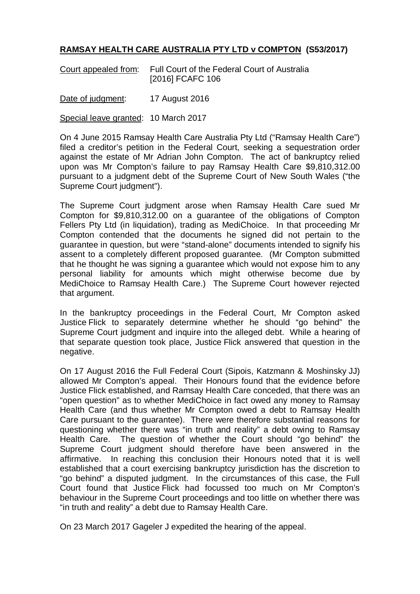## **RAMSAY HEALTH CARE AUSTRALIA PTY LTD v COMPTON (S53/2017)**

Court appealed from: Full Court of the Federal Court of Australia [2016] FCAFC 106

Date of judgment: 17 August 2016

Special leave granted: 10 March 2017

On 4 June 2015 Ramsay Health Care Australia Pty Ltd ("Ramsay Health Care") filed a creditor's petition in the Federal Court, seeking a sequestration order against the estate of Mr Adrian John Compton. The act of bankruptcy relied upon was Mr Compton's failure to pay Ramsay Health Care \$9,810,312.00 pursuant to a judgment debt of the Supreme Court of New South Wales ("the Supreme Court judgment").

The Supreme Court judgment arose when Ramsay Health Care sued Mr Compton for \$9,810,312.00 on a guarantee of the obligations of Compton Fellers Pty Ltd (in liquidation), trading as MediChoice. In that proceeding Mr Compton contended that the documents he signed did not pertain to the guarantee in question, but were "stand-alone" documents intended to signify his assent to a completely different proposed guarantee. (Mr Compton submitted that he thought he was signing a guarantee which would not expose him to any personal liability for amounts which might otherwise become due by MediChoice to Ramsay Health Care.) The Supreme Court however rejected that argument.

In the bankruptcy proceedings in the Federal Court, Mr Compton asked Justice Flick to separately determine whether he should "go behind" the Supreme Court judgment and inquire into the alleged debt. While a hearing of that separate question took place, Justice Flick answered that question in the negative.

On 17 August 2016 the Full Federal Court (Sipois, Katzmann & Moshinsky JJ) allowed Mr Compton's appeal. Their Honours found that the evidence before Justice Flick established, and Ramsay Health Care conceded, that there was an "open question" as to whether MediChoice in fact owed any money to Ramsay Health Care (and thus whether Mr Compton owed a debt to Ramsay Health Care pursuant to the guarantee). There were therefore substantial reasons for questioning whether there was "in truth and reality" a debt owing to Ramsay Health Care. The question of whether the Court should "go behind" the Supreme Court judgment should therefore have been answered in the affirmative. In reaching this conclusion their Honours noted that it is well established that a court exercising bankruptcy jurisdiction has the discretion to "go behind" a disputed judgment. In the circumstances of this case, the Full Court found that Justice Flick had focussed too much on Mr Compton's behaviour in the Supreme Court proceedings and too little on whether there was "in truth and reality" a debt due to Ramsay Health Care.

On 23 March 2017 Gageler J expedited the hearing of the appeal.